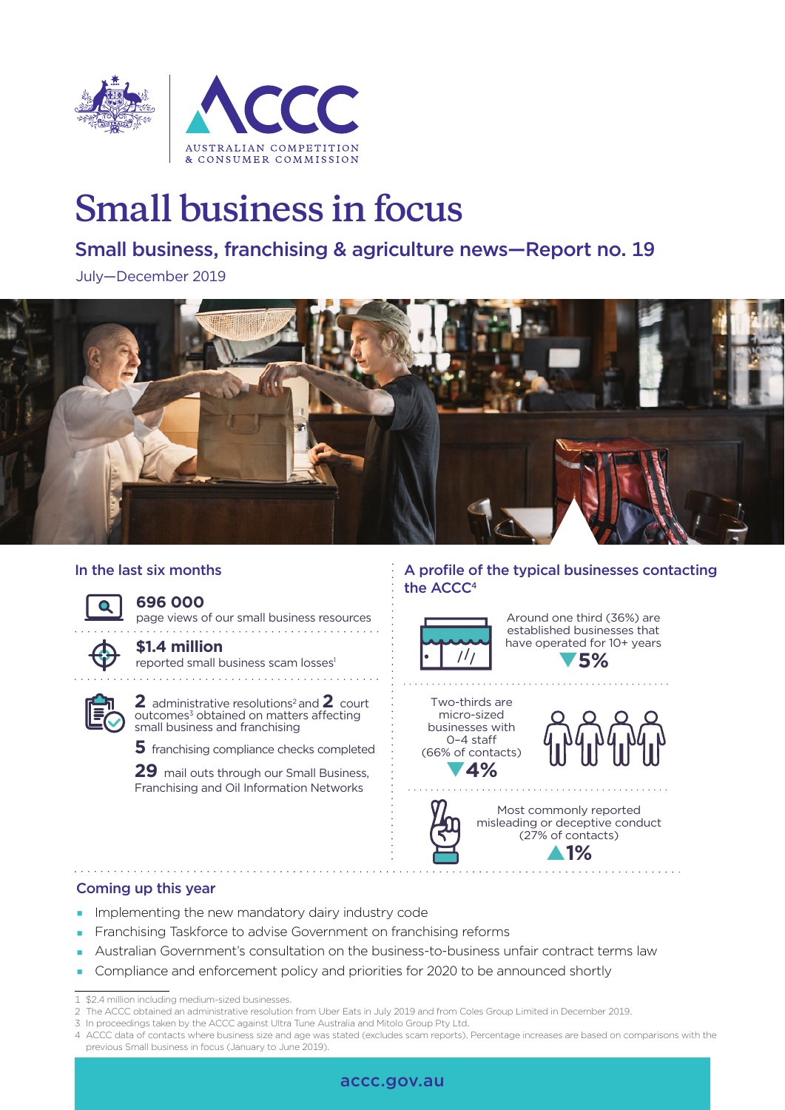

# **Small business in focus**

## Small business, franchising & agriculture news—Report no. 19

July—December 2019



## In the last six months

## **696 000**

page views of our small business resources 

**\$1.4 million** reported small business scam losses<sup>1</sup>



**2** administrative resolutions<sup>2</sup> and **2** court outcomes<sup>3</sup> obtained on matters affecting small business and franchising

**5** franchising compliance checks completed

29 mail outs through our Small Business, Franchising and Oil Information Networks

## A profile of the typical businesses contacting the ACCC<sup>4</sup>



Around one third (36%) are established businesses that have operated for 10+ years q**5%**

Two-thirds are micro-sized businesses with 0–4 sta (66% of contacts) q**4%**



. . . . . . . . . . . . . . . . .



Most commonly reported misleading or deceptive conduct (27% of contacts) p**1%**

## Coming up this year

- **Implementing the new mandatory dairy industry code**
- Franchising Taskforce to advise Government on franchising reforms
- Australian Government's consultation on the business-to-business unfair contract terms law
- **Compliance and enforcement policy and priorities for 2020 to be announced shortly**

- 3 In proceedings taken by the ACCC against Ultra Tune Australia and Mitolo Group Pty Ltd.
- 4 ACCC data of contacts where business size and age was stated (excludes scam reports). Percentage increases are based on comparisons with the previous Small business in focus (January to June 2019).



<sup>1</sup> \$2.4 million including medium-sized businesses.

<sup>2</sup> The ACCC obtained an administrative resolution from Uber Eats in July 2019 and from Coles Group Limited in December 2019.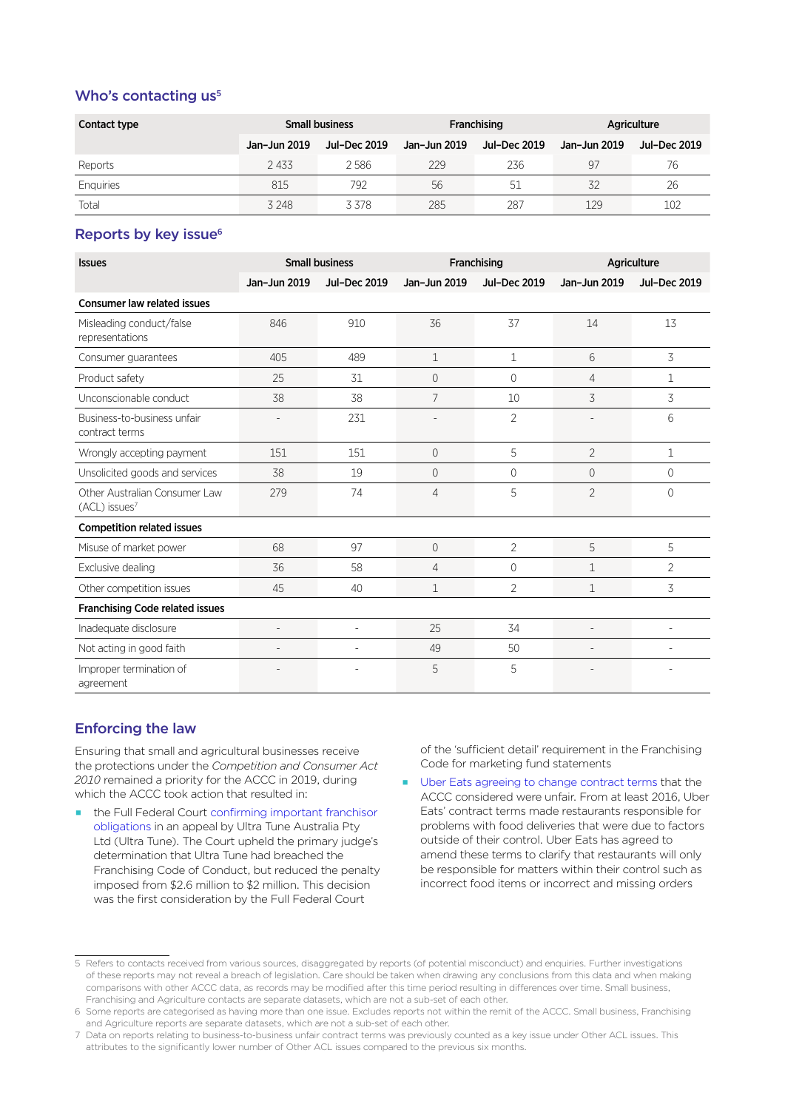## Who's contacting  $us<sup>5</sup>$

| Contact type | <b>Small business</b> |              | Franchising  |              | Agriculture  |              |
|--------------|-----------------------|--------------|--------------|--------------|--------------|--------------|
|              | Jan-Jun 2019          | Jul-Dec 2019 | Jan-Jun 2019 | Jul-Dec 2019 | Jan-Jun 2019 | Jul-Dec 2019 |
| Reports      | 2433                  | 2586         | 229          | 236          | 97           | 76           |
| Enquiries    | 815                   | 792          | 56           | 51           | 32           | 26           |
| Total        | 3 2 4 8               | 3378         | 285          | 287          | 129          | 102          |

### Reports by key issue<sup>6</sup>

| <b>Issues</b>                                              | <b>Small business</b> |              | Franchising    |                     | Agriculture    |                     |  |
|------------------------------------------------------------|-----------------------|--------------|----------------|---------------------|----------------|---------------------|--|
|                                                            | Jan-Jun 2019          | Jul-Dec 2019 | Jan-Jun 2019   | <b>Jul-Dec 2019</b> | Jan-Jun 2019   | <b>Jul-Dec 2019</b> |  |
| <b>Consumer law related issues</b>                         |                       |              |                |                     |                |                     |  |
| Misleading conduct/false<br>representations                | 846                   | 910          | 36             | 37                  | 14             | 13                  |  |
| Consumer guarantees                                        | 405                   | 489          | $\mathbf 1$    | 1                   | 6              | $\overline{3}$      |  |
| Product safety                                             | 25                    | 31           | 0              | $\Omega$            | 4              | 1                   |  |
| Unconscionable conduct                                     | 38                    | 38           | 7              | 10                  | 3              | 3                   |  |
| Business-to-business unfair<br>contract terms              |                       | 231          |                | $\overline{2}$      |                | 6                   |  |
| Wrongly accepting payment                                  | 151                   | 151          | $\overline{0}$ | 5                   | $\overline{2}$ | $\mathbf{1}$        |  |
| Unsolicited goods and services                             | 38                    | 19           | 0              | 0                   | $\Omega$       | $\Omega$            |  |
| Other Australian Consumer Law<br>(ACL) issues <sup>7</sup> | 279                   | 74           | 4              | 5                   | $\overline{2}$ | 0                   |  |
| <b>Competition related issues</b>                          |                       |              |                |                     |                |                     |  |
| Misuse of market power                                     | 68                    | 97           | 0              | $\overline{2}$      | 5              | 5                   |  |
| Exclusive dealing                                          | 36                    | 58           | 4              | $\Omega$            | $\mathbf{1}$   | $\overline{2}$      |  |
| Other competition issues                                   | 45                    | 40           | $\mathbf 1$    | $\overline{2}$      | $\mathbf{1}$   | 3                   |  |
| <b>Franchising Code related issues</b>                     |                       |              |                |                     |                |                     |  |
| Inadequate disclosure                                      | $\overline{a}$        | L,           | 25             | 34                  | $\overline{a}$ |                     |  |
| Not acting in good faith                                   |                       |              | 49             | 50                  |                |                     |  |
| Improper termination of<br>agreement                       |                       | ÷            | 5              | 5                   | $\overline{a}$ |                     |  |

## Enforcing the law

Ensuring that small and agricultural businesses receive the protections under the *Competition and Consumer Act 2010* remained a priority for the ACCC in 2019, during which the ACCC took action that resulted in:

 the Full Federal Court [confirming important franchisor](https://www.accc.gov.au/media-release/full-federal-court-confirms-franchisor-obligations-in-ultra-tune-appeal-decision)  [obligations](https://www.accc.gov.au/media-release/full-federal-court-confirms-franchisor-obligations-in-ultra-tune-appeal-decision) in an appeal by Ultra Tune Australia Pty Ltd (Ultra Tune). The Court upheld the primary judge's determination that Ultra Tune had breached the Franchising Code of Conduct, but reduced the penalty imposed from \$2.6 million to \$2 million. This decision was the first consideration by the Full Federal Court

of the 'sufficient detail' requirement in the Franchising Code for marketing fund statements

[Uber Eats agreeing to change contract terms](https://www.accc.gov.au/media-release/uber-eats-amends-its-contracts) that the ACCC considered were unfair. From at least 2016, Uber Eats' contract terms made restaurants responsible for problems with food deliveries that were due to factors outside of their control. Uber Eats has agreed to amend these terms to clarify that restaurants will only be responsible for matters within their control such as incorrect food items or incorrect and missing orders

<sup>5</sup> Refers to contacts received from various sources, disaggregated by reports (of potential misconduct) and enquiries. Further investigations of these reports may not reveal a breach of legislation. Care should be taken when drawing any conclusions from this data and when making comparisons with other ACCC data, as records may be modified after this time period resulting in differences over time. Small business, Franchising and Agriculture contacts are separate datasets, which are not a sub-set of each other.

<sup>6</sup> Some reports are categorised as having more than one issue. Excludes reports not within the remit of the ACCC. Small business, Franchising and Agriculture reports are separate datasets, which are not a sub-set of each other.

<sup>7</sup> Data on reports relating to business-to-business unfair contract terms was previously counted as a key issue under Other ACL issues. This attributes to the significantly lower number of Other ACL issues compared to the previous six months.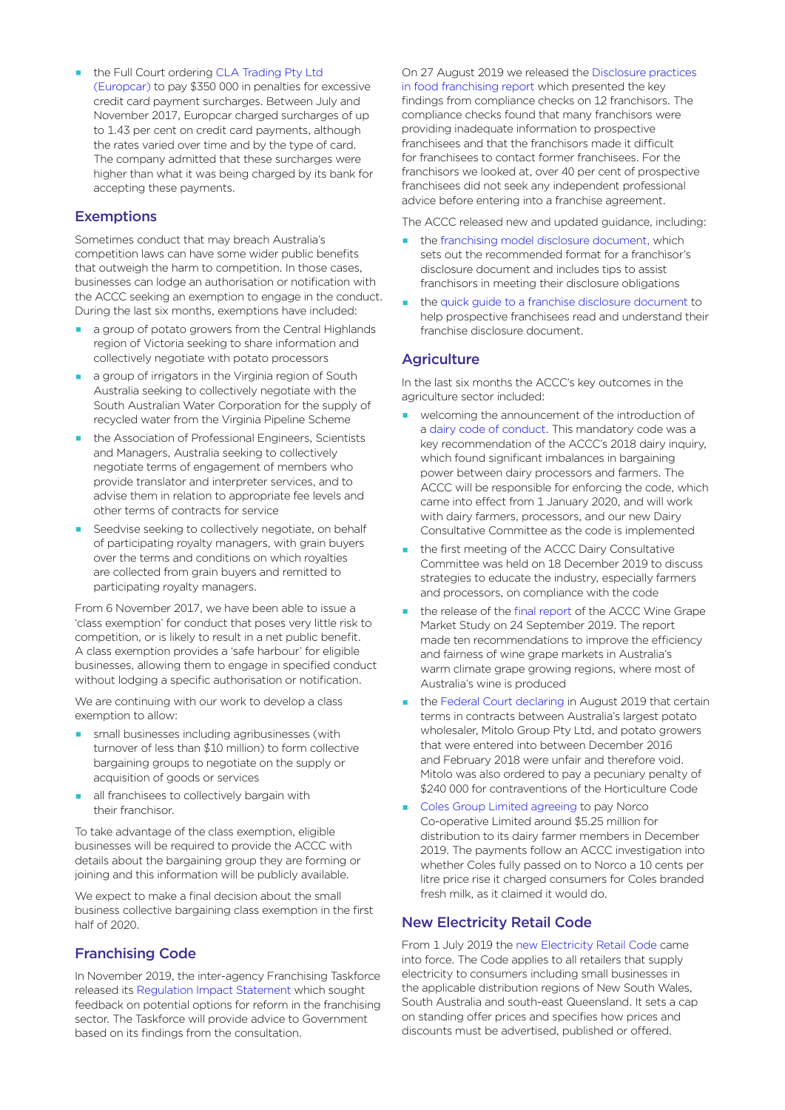#### the Full Court ordering [CLA Trading Pty Ltd](https://www.accc.gov.au/media-release/europcar-to-pay-350000-penalty-for-excessive-card-payment-surcharges)

[\(Europcar\)](https://www.accc.gov.au/media-release/europcar-to-pay-350000-penalty-for-excessive-card-payment-surcharges) to pay \$350 000 in penalties for excessive credit card payment surcharges. Between July and November 2017, Europcar charged surcharges of up to 1.43 per cent on credit card payments, although the rates varied over time and by the type of card. The company admitted that these surcharges were higher than what it was being charged by its bank for accepting these payments.

#### **Exemptions**

Sometimes conduct that may breach Australia's competition laws can have some wider public benefits that outweigh the harm to competition. In those cases, businesses can lodge an authorisation or notification with the ACCC seeking an exemption to engage in the conduct. During the last six months, exemptions have included:

- a group of potato growers from the Central Highlands region of Victoria seeking to share information and collectively negotiate with potato processors
- a group of irrigators in the Virginia region of South Australia seeking to collectively negotiate with the South Australian Water Corporation for the supply of recycled water from the Virginia Pipeline Scheme
- **the Association of Professional Engineers, Scientists** and Managers, Australia seeking to collectively negotiate terms of engagement of members who provide translator and interpreter services, and to advise them in relation to appropriate fee levels and other terms of contracts for service
- Seedvise seeking to collectively negotiate, on behalf of participating royalty managers, with grain buyers over the terms and conditions on which royalties are collected from grain buyers and remitted to participating royalty managers.

From 6 November 2017, we have been able to issue a 'class exemption' for conduct that poses very little risk to competition, or is likely to result in a net public benefit. A class exemption provides a 'safe harbour' for eligible businesses, allowing them to engage in specified conduct without lodging a specific authorisation or notification.

We are continuing with our work to develop a class exemption to allow:

- small businesses including agribusinesses (with turnover of less than \$10 million) to form collective bargaining groups to negotiate on the supply or acquisition of goods or services
- all franchisees to collectively bargain with their franchisor.

To take advantage of the class exemption, eligible businesses will be required to provide the ACCC with details about the bargaining group they are forming or joining and this information will be publicly available.

We expect to make a final decision about the small business collective bargaining class exemption in the first half of 2020.

#### Franchising Code

In November 2019, the inter-agency Franchising Taskforce released its [Regulation Impact Statement](https://docs.employment.gov.au/documents/franchising-regulation-impact-statement-ris) which sought feedback on potential options for reform in the franchising sector. The Taskforce will provide advice to Government based on its findings from the consultation.

On 27 August 2019 we released the [Disclosure practices](https://www.accc.gov.au/publications/disclosure-practices-in-food-franchising)  [in food franchising report](https://www.accc.gov.au/publications/disclosure-practices-in-food-franchising) which presented the key findings from compliance checks on 12 franchisors. The compliance checks found that many franchisors were providing inadequate information to prospective franchisees and that the franchisors made it difficult for franchisees to contact former franchisees. For the franchisors we looked at, over 40 per cent of prospective franchisees did not seek any independent professional advice before entering into a franchise agreement.

The ACCC released new and updated guidance, including:

- the [franchising model disclosure document,](https://www.accc.gov.au/publications/franchising-model-disclosure-document) which sets out the recommended format for a franchisor's disclosure document and includes tips to assist franchisors in meeting their disclosure obligations
- the [quick guide to a franchise disclosure document](https://www.accc.gov.au/publications/quick-guide-to-a-franchise-disclosure-document) to help prospective franchisees read and understand their franchise disclosure document.

#### **Agriculture**

In the last six months the ACCC's key outcomes in the agriculture sector included:

- welcoming the announcement of the introduction of a [dairy code of conduct.](https://www.accc.gov.au/business/industry-codes/dairy-code-of-conduct) This mandatory code was a key recommendation of the ACCC's 2018 dairy inquiry, which found significant imbalances in bargaining power between dairy processors and farmers. The ACCC will be responsible for enforcing the code, which came into effect from 1 January 2020, and will work with dairy farmers, processors, and our new Dairy Consultative Committee as the code is implemented
- the first meeting of the ACCC Dairy Consultative Committee was held on 18 December 2019 to discuss strategies to educate the industry, especially farmers and processors, on compliance with the code
- the release of the final report of the ACCC Wine Grape Market Study on 24 September 2019. The report made ten recommendations to improve the efficiency and fairness of wine grape markets in Australia's warm climate grape growing regions, where most of Australia's wine is produced
- [the Federal Court declari](https://www.accc.gov.au/media-release/court-penalises-potato-wholesaler-for-breaching-the-horticulture-code-and-declares-unfair-contract-terms-void)ng in August 2019 that certain terms in contracts between Australia's largest potato wholesaler, Mitolo Group Pty Ltd, and potato growers that were entered into between December 2016 and February 2018 were unfair and therefore void. Mitolo was also ordered to pay a pecuniary penalty of \$240 000 for contraventions of the Horticulture Code
- [Coles Group Limited agree](https://www.accc.gov.au/media-release/coles-to-pay-norco-dairy-farmers-around-525-million-following-accc-investigation)ing to pay Norco Co-operative Limited around \$5.25 million for distribution to its dairy farmer members in December 2019. The payments follow an ACCC investigation into whether Coles fully passed on to Norco a 10 cents per litre price rise it charged consumers for Coles branded fresh milk, as it claimed it would do.

#### New Electricity Retail Code

From 1 July 2019 the [new Electricity Retail Code](https://www.accc.gov.au/media-release/accc-to-enforce-new-rules-for-electricity-retailers) came into force. The Code applies to all retailers that supply electricity to consumers including small businesses in the applicable distribution regions of New South Wales, South Australia and south-east Queensland. It sets a cap on standing offer prices and specifies how prices and discounts must be advertised, published or offered.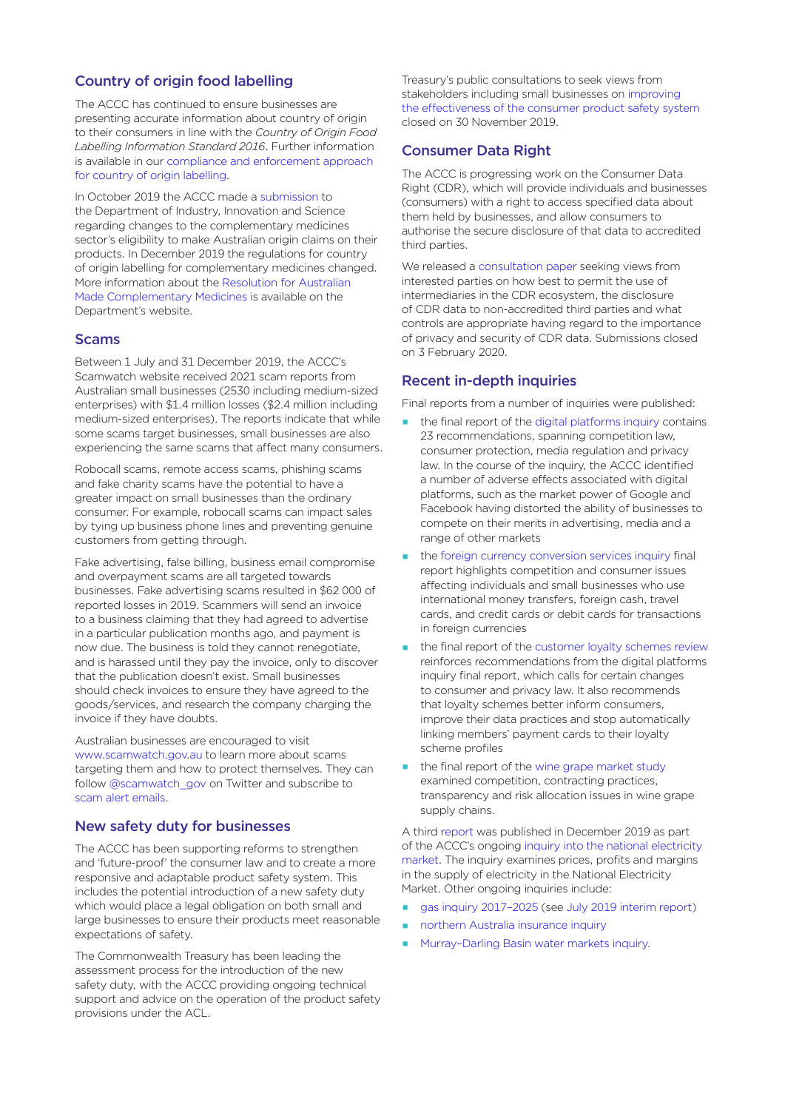## Country of origin food labelling

The ACCC has continued to ensure businesses are presenting accurate information about country of origin to their consumers in line with the *Country of Origin Food Labelling Information Standard 2016*. Further information is available in our [compliance and enforcement approach](https://www.accc.gov.au/business/advertising-promoting-your-business/country-of-origin-claims/country-of-origin-food-labelling#compliance-and-enforcement-approach)  [for country of origin labelling.](https://www.accc.gov.au/business/advertising-promoting-your-business/country-of-origin-claims/country-of-origin-food-labelling#compliance-and-enforcement-approach)

In October 2019 the ACCC made a [submission](https://www.accc.gov.au/system/files/ACCC%20Submission%20-%20Eligibility%20for%20origin%20claims%20in%20the%20complementary%20medicine%20sector%20-%2029%20October%202019.PDF) to the Department of Industry, Innovation and Science regarding changes to the complementary medicines sector's eligibility to make Australian origin claims on their products. In December 2019 the regulations for country of origin labelling for complementary medicines changed. More information about the [Resolution for Australian](https://www.industry.gov.au/news-media/resolution-for-australian-made-complementary-medicines)  [Made Complementary Medicines](https://www.industry.gov.au/news-media/resolution-for-australian-made-complementary-medicines) is available on the Department's website.

#### Scams

Between 1 July and 31 December 2019, the ACCC's Scamwatch website received 2021 scam reports from Australian small businesses (2530 including medium-sized enterprises) with \$1.4 million losses (\$2.4 million including medium-sized enterprises). The reports indicate that while some scams target businesses, small businesses are also experiencing the same scams that affect many consumers.

Robocall scams, remote access scams, phishing scams and fake charity scams have the potential to have a greater impact on small businesses than the ordinary consumer. For example, robocall scams can impact sales by tying up business phone lines and preventing genuine customers from getting through.

Fake advertising, false billing, business email compromise and overpayment scams are all targeted towards businesses. Fake advertising scams resulted in \$62 000 of reported losses in 2019. Scammers will send an invoice to a business claiming that they had agreed to advertise in a particular publication months ago, and payment is now due. The business is told they cannot renegotiate, and is harassed until they pay the invoice, only to discover that the publication doesn't exist. Small businesses should check invoices to ensure they have agreed to the goods/services, and research the company charging the invoice if they have doubts.

Australian businesses are encouraged to visit [www.scamwatch.gov.au](http://www.scamwatch.gov.au) to learn more about scams targeting them and how to protect themselves. They can follow [@scamwatch\\_gov](https://twitter.com/scamwatch_gov?lang=en) on Twitter and subscribe to scam [alert emails.](https://www.scamwatch.gov.au/news/subscribe-to-scam-alert-emails)

#### New safety duty for businesses

The ACCC has been supporting reforms to strengthen and 'future-proof' the consumer law and to create a more responsive and adaptable product safety system. This includes the potential introduction of a new safety duty which would place a legal obligation on both small and large businesses to ensure their products meet reasonable expectations of safety.

The Commonwealth Treasury has been leading the assessment process for the introduction of the new safety duty, with the ACCC providing ongoing technical support and advice on the operation of the product safety provisions under the ACL.

Treasury's public consultations to seek views from stakeholders including small businesses on [improving](https://consult.treasury.gov.au/market-and-competition-policy-division-internal/main-consultation/)  [the effectiveness of the consumer product safety system](https://consult.treasury.gov.au/market-and-competition-policy-division-internal/main-consultation/) closed on 30 November 2019.

#### Consumer Data Right

The ACCC is progressing work on the Consumer Data Right (CDR), which will provide individuals and businesses (consumers) with a right to access specified data about them held by businesses, and allow consumers to authorise the secure disclosure of that data to accredited third parties.

We released a [consultation paper](https://www.accc.gov.au/focus-areas/consumer-data-right-cdr-0/accc-consultation-on-facilitating-participation-of-intermediaries-in-the-cdr-regime) seeking views from interested parties on how best to permit the use of intermediaries in the CDR ecosystem, the disclosure of CDR data to non-accredited third parties and what controls are appropriate having regard to the importance of privacy and security of CDR data. Submissions closed on 3 February 2020.

#### Recent in-depth inquiries

Final reports from a number of inquiries were published:

- $\blacksquare$  the final report of the [digital platforms inquiry](https://www.accc.gov.au/publications/digital-platforms-inquiry-final-report) contains 23 recommendations, spanning competition law, consumer protection, media regulation and privacy law. In the course of the inquiry, the ACCC identified a number of adverse effects associated with digital platforms, such as the market power of Google and Facebook having distorted the ability of businesses to compete on their merits in advertising, media and a range of other markets
- the [foreign currency conversion services inquiry](https://www.accc.gov.au/publications/foreign-currency-conversion-services-inquiry-final-report) final report highlights competition and consumer issues affecting individuals and small businesses who use international money transfers, foreign cash, travel cards, and credit cards or debit cards for transactions in foreign currencies
- the final report of the [customer loyalty schemes review](https://www.accc.gov.au/publications/customer-loyalty-schemes-final-report) reinforces recommendations from the digital platforms inquiry [final report](https://www.accc.gov.au/media-release/holistic-dynamic-reforms-needed-to-address-dominance-of-digital-platforms), which calls for certain changes to consumer and privacy law. It also recommends that loyalty schemes better inform consumers, improve their data practices and stop automatically linking members' payment cards to their loyalty scheme profiles
- the final report of the [wine grape market study](https://www.accc.gov.au/publications/wine-grape-market-study-final-report) examined competition, contracting practices, transparency and risk allocation issues in wine grape supply chains.

A third [report](https://www.accc.gov.au/publications/inquiry-into-the-national-electricity-market-november-2019-report) was published in December 2019 as part of the ACCC's ongoing [inquiry into the national electricity](https://www.accc.gov.au/publications/inquiry-into-the-national-electricity-market-november-2019-report)  [market.](https://www.accc.gov.au/publications/inquiry-into-the-national-electricity-market-november-2019-report) The inquiry examines prices, profits and margins in the supply of electricity in the National Electricity Market. Other ongoing inquiries include:

- gas inquiry 2017-2025 (see [July 2019 interim report\)](https://www.accc.gov.au/regulated-infrastructure/energy/gas-inquiry-2017-2025/july-2019-interim-report)
- [northern Australia insurance inquiry](https://www.accc.gov.au/focus-areas/inquiries-ongoing/northern-australia-insurance-inquiry)
- **Murray-Darling Basin water markets inquiry.**